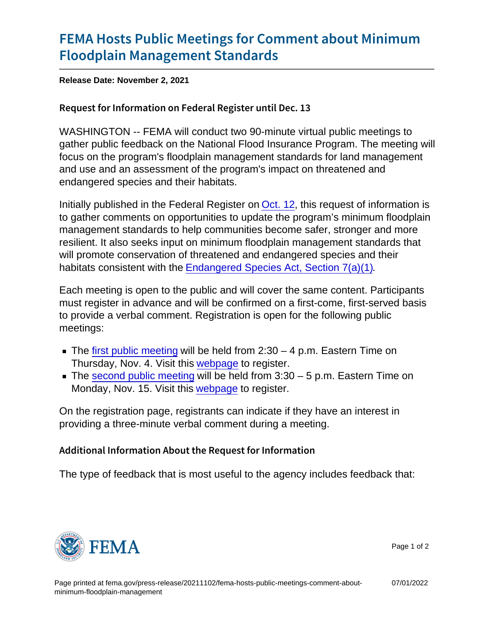## [FEMA Hosts Public Meetings for Co](https://www.fema.gov/press-release/20211102/fema-hosts-public-meetings-comment-about-minimum-floodplain-management)mment [Floodplain Manageme](https://www.fema.gov/press-release/20211102/fema-hosts-public-meetings-comment-about-minimum-floodplain-management)nt Standards

Release Date: November 2, 2021

## Request for Information on Federal Register until Dec. 13

WASHINGTON -- FEMA will conduct two 90-minute virtual public meetings to gather public feedback on the National Flood Insurance Program. The meeting will focus on the program's floodplain management standards for land management and use and an assessment of the program's impact on threatened and endangered species and their habitats.

Initially published in the Federal Register on [Oct. 12](https://www.federalregister.gov/documents/2021/10/12/2021-22152/request-for-information-on-the-national-flood-insurance-programs-floodplain-management-standards-for), this request of information is to gather comments on opportunities to update the program's minimum floodplain management standards to help communities become safer, stronger and more resilient. It also seeks input on minimum floodplain management standards that will promote conservation of threatened and endangered species and their habitats consistent with the [Endangered Species Act, Section 7\(a\)\(1\).](https://www.fema.gov/floodplain-management/wildlife-conservation/benefits-conserving-endangered-species)

Each meeting is open to the public and will cover the same content. Participants must register in advance and will be confirmed on a first-come, first-served basis to provide a verbal comment. Registration is open for the following public meetings:

- The [first public meeting](https://www.fema.gov/event/virtual-public-meeting-national-flood-insurance-programs-minimum-floodplain-management-0) will be held from  $2:30 4$  p.m. Eastern Time on Thursday, Nov. 4. Visit this [webpage](https://bahmeet.webex.com/webappng/sites/bahmeet/meeting/info/5a7f62c937f34c7d92f2c68a4a527587?isPopupRegisterView=true.) to register.
- The [second public meeting](https://www.fema.gov/event/virtual-public-meeting-proposed-national-flood-insurance-programs-minimum-floodplain-0) will be held from  $3:30 5$  p.m. Eastern Time on Monday, Nov. 15. Visit this [webpage](https://bahmeet.webex.com/webappng/sites/bahmeet/meeting/info/7276c94763574bbda7bdf4254f321749?isPopupRegisterView=true) to register.

On the registration page, registrants can indicate if they have an interest in providing a three-minute verbal comment during a meeting.

Additional Information About the Request for Information

The type of feedback that is most useful to the agency includes feedback that:



Page 1 of 2